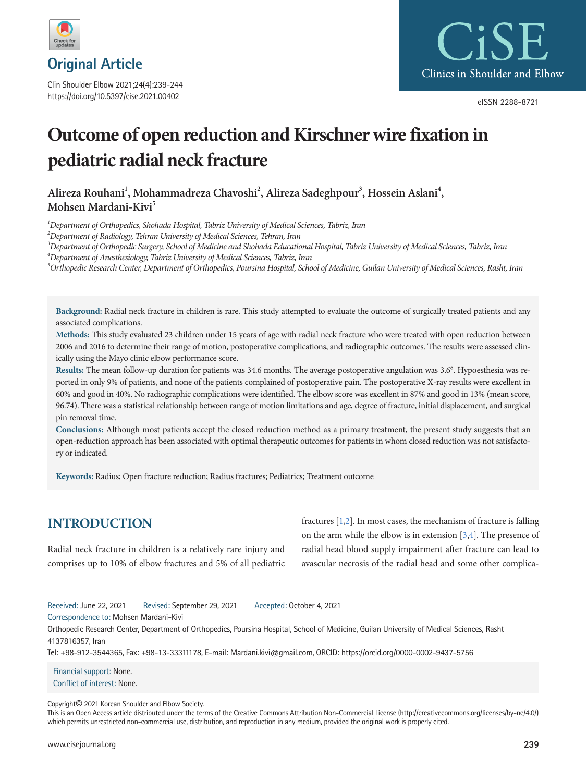

**Original Article**

Clin Shoulder Elbow 2021;24(4):239-244 https://doi.org/10.5397/cise.2021.00402



eISSN 2288-8721

# **Outcome of open reduction and Kirschner wire fixation in pediatric radial neck fracture**

Alireza Rouhani<sup>1</sup>, Mohammadreza Chavoshi<sup>2</sup>, Alireza Sadeghpour<sup>3</sup>, Hossein Aslani<sup>4</sup>, Mohsen Mardani-Kivi<sup>5</sup>

*1 Department of Orthopedics, Shohada Hospital, Tabriz University of Medical Sciences, Tabriz, Iran* 

*2 Department of Radiology, Tehran University of Medical Sciences, Tehran, Iran* 

*3 Department of Orthopedic Surgery, School of Medicine and Shohada Educational Hospital, Tabriz University of Medical Sciences, Tabriz, Iran* 

*4 Department of Anesthesiology, Tabriz University of Medical Sciences, Tabriz, Iran* 

*5 Orthopedic Research Center, Department of Orthopedics, Poursina Hospital, School of Medicine, Guilan University of Medical Sciences, Rasht, Iran* 

**Background:** Radial neck fracture in children is rare. This study attempted to evaluate the outcome of surgically treated patients and any associated complications.

**Methods:** This study evaluated 23 children under 15 years of age with radial neck fracture who were treated with open reduction between 2006 and 2016 to determine their range of motion, postoperative complications, and radiographic outcomes. The results were assessed clinically using the Mayo clinic elbow performance score.

**Results:** The mean follow-up duration for patients was 34.6 months. The average postoperative angulation was 3.6°. Hypoesthesia was reported in only 9% of patients, and none of the patients complained of postoperative pain. The postoperative X-ray results were excellent in 60% and good in 40%. No radiographic complications were identified. The elbow score was excellent in 87% and good in 13% (mean score, 96.74). There was a statistical relationship between range of motion limitations and age, degree of fracture, initial displacement, and surgical pin removal time.

**Conclusions:** Although most patients accept the closed reduction method as a primary treatment, the present study suggests that an open-reduction approach has been associated with optimal therapeutic outcomes for patients in whom closed reduction was not satisfactory or indicated.

**Keywords:** Radius; Open fracture reduction; Radius fractures; Pediatrics; Treatment outcome

# **INTRODUCTION**

Radial neck fracture in children is a relatively rare injury and comprises up to 10% of elbow fractures and 5% of all pediatric fractures [\[1](#page-4-0)[,2](#page-5-0)]. In most cases, the mechanism of fracture is falling on the arm while the elbow is in extension [\[3](#page-4-1)[,4\]](#page-5-1). The presence of radial head blood supply impairment after fracture can lead to avascular necrosis of the radial head and some other complica-

Received: June 22, 2021 Revised: September 29, 2021 Accepted: October 4, 2021

Correspondence to: Mohsen Mardani-Kivi

Orthopedic Research Center, Department of Orthopedics, Poursina Hospital, School of Medicine, Guilan University of Medical Sciences, Rasht 4137816357, Iran

Tel: +98-912-3544365, Fax: +98-13-33311178, E-mail: Mardani.kivi@gmail.com, ORCID: https://orcid.org/0000-0002-9437-5756

Financial support: None. Conflict of interest: None.

Copyright© 2021 Korean Shoulder and Elbow Society.

This is an Open Access article distributed under the terms of the Creative Commons Attribution Non-Commercial License (http://creativecommons.org/licenses/by-nc/4.0/) which permits unrestricted non-commercial use, distribution, and reproduction in any medium, provided the original work is properly cited.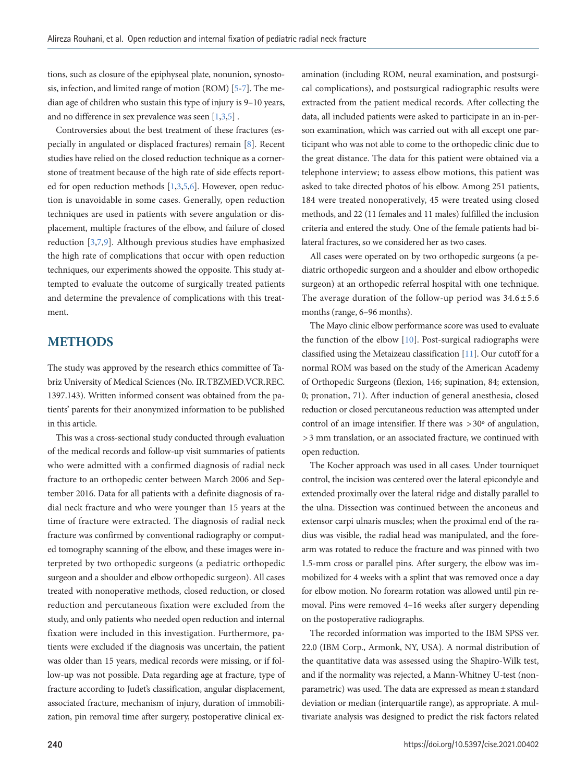tions, such as closure of the epiphyseal plate, nonunion, synostosis, infection, and limited range of motion (ROM) [\[5](#page-5-2)-[7](#page-5-3)]. The median age of children who sustain this type of injury is 9–10 years, and no difference in sex prevalence was seen [1,[3,5\]](#page-5-2) .

Controversies about the best treatment of these fractures (especially in angulated or displaced fractures) remain [\[8](#page-5-3)]. Recent studies have relied on the closed reduction technique as a cornerstone of treatment because of the high rate of side effects reported for open reduction methods [1,3[,5](#page-5-2),[6](#page-5-0)]. However, open reduction is unavoidable in some cases. Generally, open reduction techniques are used in patients with severe angulation or displacement, multiple fractures of the elbow, and failure of closed reduction [3,[7](#page-5-3)[,9\]](#page-5-4). Although previous studies have emphasized the high rate of complications that occur with open reduction techniques, our experiments showed the opposite. This study attempted to evaluate the outcome of surgically treated patients and determine the prevalence of complications with this treatment.

### **METHODS**

The study was approved by the research ethics committee of Tabriz University of Medical Sciences (No. IR.TBZMED.VCR.REC. 1397.143). Written informed consent was obtained from the patients' parents for their anonymized information to be published in this article.

This was a cross-sectional study conducted through evaluation of the medical records and follow-up visit summaries of patients who were admitted with a confirmed diagnosis of radial neck fracture to an orthopedic center between March 2006 and September 2016. Data for all patients with a definite diagnosis of radial neck fracture and who were younger than 15 years at the time of fracture were extracted. The diagnosis of radial neck fracture was confirmed by conventional radiography or computed tomography scanning of the elbow, and these images were interpreted by two orthopedic surgeons (a pediatric orthopedic surgeon and a shoulder and elbow orthopedic surgeon). All cases treated with nonoperative methods, closed reduction, or closed reduction and percutaneous fixation were excluded from the study, and only patients who needed open reduction and internal fixation were included in this investigation. Furthermore, patients were excluded if the diagnosis was uncertain, the patient was older than 15 years, medical records were missing, or if follow-up was not possible. Data regarding age at fracture, type of fracture according to Judet's classification, angular displacement, associated fracture, mechanism of injury, duration of immobilization, pin removal time after surgery, postoperative clinical examination (including ROM, neural examination, and postsurgical complications), and postsurgical radiographic results were extracted from the patient medical records. After collecting the data, all included patients were asked to participate in an in-person examination, which was carried out with all except one participant who was not able to come to the orthopedic clinic due to the great distance. The data for this patient were obtained via a telephone interview; to assess elbow motions, this patient was asked to take directed photos of his elbow. Among 251 patients, 184 were treated nonoperatively, 45 were treated using closed methods, and 22 (11 females and 11 males) fulfilled the inclusion criteria and entered the study. One of the female patients had bilateral fractures, so we considered her as two cases.

All cases were operated on by two orthopedic surgeons (a pediatric orthopedic surgeon and a shoulder and elbow orthopedic surgeon) at an orthopedic referral hospital with one technique. The average duration of the follow-up period was  $34.6 \pm 5.6$ months (range, 6–96 months).

The Mayo clinic elbow performance score was used to evaluate the function of the elbow [\[10\]](#page-5-5). Post-surgical radiographs were classified using the Metaizeau classification [\[11\]](#page-5-6). Our cutoff for a normal ROM was based on the study of the American Academy of Orthopedic Surgeons (flexion, 146; supination, 84; extension, 0; pronation, 71). After induction of general anesthesia, closed reduction or closed percutaneous reduction was attempted under control of an image intensifier. If there was  $>30^{\circ}$  of angulation, > 3 mm translation, or an associated fracture, we continued with open reduction.

The Kocher approach was used in all cases. Under tourniquet control, the incision was centered over the lateral epicondyle and extended proximally over the lateral ridge and distally parallel to the ulna. Dissection was continued between the anconeus and extensor carpi ulnaris muscles; when the proximal end of the radius was visible, the radial head was manipulated, and the forearm was rotated to reduce the fracture and was pinned with two 1.5-mm cross or parallel pins. After surgery, the elbow was immobilized for 4 weeks with a splint that was removed once a day for elbow motion. No forearm rotation was allowed until pin removal. Pins were removed 4–16 weeks after surgery depending on the postoperative radiographs.

The recorded information was imported to the IBM SPSS ver. 22.0 (IBM Corp., Armonk, NY, USA). A normal distribution of the quantitative data was assessed using the Shapiro-Wilk test, and if the normality was rejected, a Mann-Whitney U-test (nonparametric) was used. The data are expressed as mean ± standard deviation or median (interquartile range), as appropriate. A multivariate analysis was designed to predict the risk factors related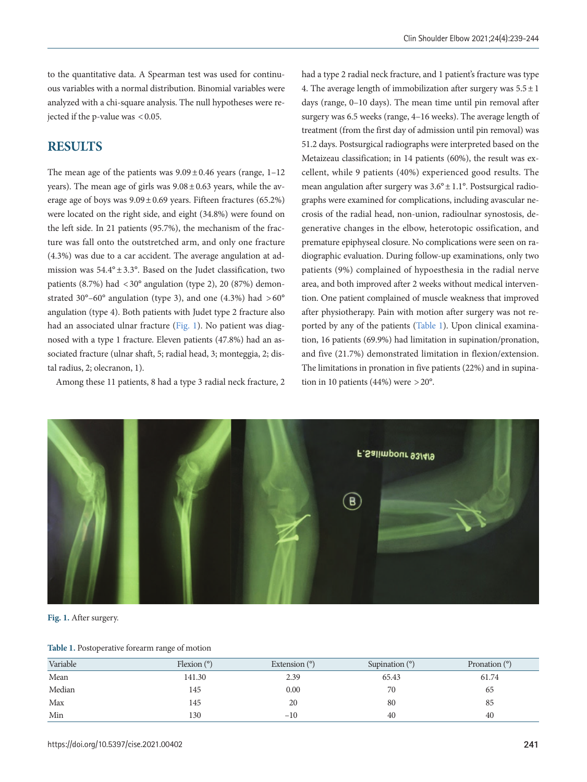to the quantitative data. A Spearman test was used for continuous variables with a normal distribution. Binomial variables were analyzed with a chi-square analysis. The null hypotheses were rejected if the p-value was < 0.05.

## **RESULTS**

The mean age of the patients was  $9.09 \pm 0.46$  years (range,  $1-12$ ) years). The mean age of girls was  $9.08 \pm 0.63$  years, while the average age of boys was  $9.09 \pm 0.69$  years. Fifteen fractures (65.2%) were located on the right side, and eight (34.8%) were found on the left side. In 21 patients (95.7%), the mechanism of the fracture was fall onto the outstretched arm, and only one fracture (4.3%) was due to a car accident. The average angulation at admission was  $54.4^{\circ} \pm 3.3^{\circ}$ . Based on the Judet classification, two patients (8.7%) had  $\langle 30^\circ \rangle$  angulation (type 2), 20 (87%) demonstrated 30°–60° angulation (type 3), and one (4.3%) had  $>60^{\circ}$ angulation (type 4). Both patients with Judet type 2 fracture also had an associated ulnar fracture [\(Fig. 1](#page-2-0)). No patient was diagnosed with a type 1 fracture. Eleven patients (47.8%) had an associated fracture (ulnar shaft, 5; radial head, 3; monteggia, 2; distal radius, 2; olecranon, 1).

Among these 11 patients, 8 had a type 3 radial neck fracture, 2

had a type 2 radial neck fracture, and 1 patient's fracture was type 4. The average length of immobilization after surgery was  $5.5 \pm 1$ days (range, 0–10 days). The mean time until pin removal after surgery was 6.5 weeks (range, 4–16 weeks). The average length of treatment (from the first day of admission until pin removal) was 51.2 days. Postsurgical radiographs were interpreted based on the Metaizeau classification; in 14 patients (60%), the result was excellent, while 9 patients (40%) experienced good results. The mean angulation after surgery was 3.6° ± 1.1°. Postsurgical radiographs were examined for complications, including avascular necrosis of the radial head, non-union, radioulnar synostosis, degenerative changes in the elbow, heterotopic ossification, and premature epiphyseal closure. No complications were seen on radiographic evaluation. During follow-up examinations, only two patients (9%) complained of hypoesthesia in the radial nerve area, and both improved after 2 weeks without medical intervention. One patient complained of muscle weakness that improved after physiotherapy. Pain with motion after surgery was not reported by any of the patients [\(Table 1\)](#page-2-1). Upon clinical examination, 16 patients (69.9%) had limitation in supination/pronation, and five (21.7%) demonstrated limitation in flexion/extension. The limitations in pronation in five patients (22%) and in supination in 10 patients (44%) were  $>20^{\circ}$ .

<span id="page-2-0"></span>

**Fig. 1.** After surgery.

#### <span id="page-2-1"></span>**Table 1.** Postoperative forearm range of motion

| Variable | Flexion $(°)$ | Extension $(°)$ | Supination $(°)$ | Pronation $(°)$ |
|----------|---------------|-----------------|------------------|-----------------|
| Mean     | 141.30        | 2.39            | 65.43            | 61.74           |
| Median   | 145           | 0.00            | 70               | 65              |
| Max      | 145           | 20              | 80               | 85              |
| Min      | 130           | $-10$           | 40               | 40              |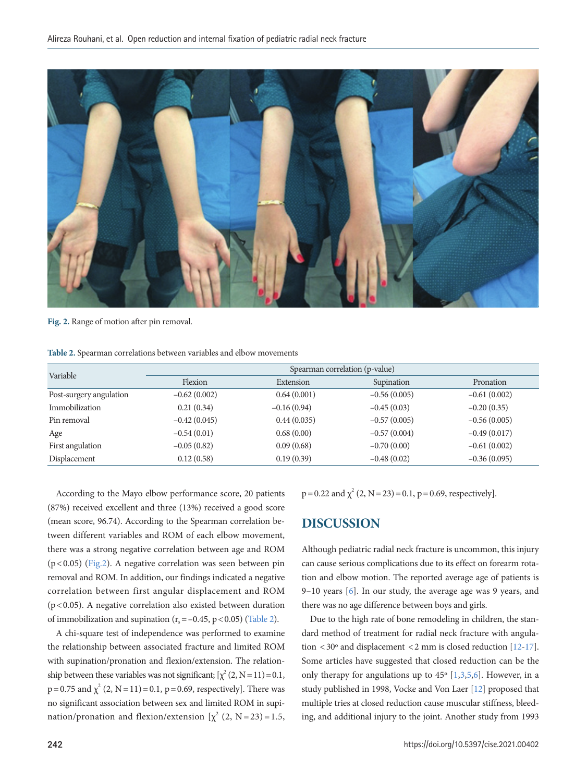<span id="page-3-0"></span>

**Fig. 2.** Range of motion after pin removal.

<span id="page-3-1"></span>**Table 2.** Spearman correlations between variables and elbow movements

| Variable                | Spearman correlation (p-value) |               |                |                |  |
|-------------------------|--------------------------------|---------------|----------------|----------------|--|
|                         | Flexion                        | Extension     | Supination     | Pronation      |  |
| Post-surgery angulation | $-0.62(0.002)$                 | 0.64(0.001)   | $-0.56(0.005)$ | $-0.61(0.002)$ |  |
| Immobilization          | 0.21(0.34)                     | $-0.16(0.94)$ | $-0.45(0.03)$  | $-0.20(0.35)$  |  |
| Pin removal             | $-0.42(0.045)$                 | 0.44(0.035)   | $-0.57(0.005)$ | $-0.56(0.005)$ |  |
| Age                     | $-0.54(0.01)$                  | 0.68(0.00)    | $-0.57(0.004)$ | $-0.49(0.017)$ |  |
| First angulation        | $-0.05(0.82)$                  | 0.09(0.68)    | $-0.70(0.00)$  | $-0.61(0.002)$ |  |
| Displacement            | 0.12(0.58)                     | 0.19(0.39)    | $-0.48(0.02)$  | $-0.36(0.095)$ |  |

According to the Mayo elbow performance score, 20 patients (87%) received excellent and three (13%) received a good score (mean score, 96.74). According to the Spearman correlation between different variables and ROM of each elbow movement, there was a strong negative correlation between age and ROM (p < 0.05) [\(Fig.2](#page-3-0)). A negative correlation was seen between pin removal and ROM. In addition, our findings indicated a negative correlation between first angular displacement and ROM (p < 0.05). A negative correlation also existed between duration of immobilization and supination ( $r_s = -0.45$ , p < 0.05) ([Table 2](#page-3-1)).

A chi-square test of independence was performed to examine the relationship between associated fracture and limited ROM with supination/pronation and flexion/extension. The relationship between these variables was not significant;  $[\chi^2 (2, N=11)=0.1$ ,  $p = 0.75$  and  $\chi^2$  (2, N = 11) = 0.1, p = 0.69, respectively]. There was no significant association between sex and limited ROM in supination/pronation and flexion/extension  $[\chi^2 (2, N=23)=1.5,$   $p = 0.22$  and  $\chi^2$  (2, N = 23) = 0.1, p = 0.69, respectively].

# **DISCUSSION**

Although pediatric radial neck fracture is uncommon, this injury can cause serious complications due to its effect on forearm rotation and elbow motion. The reported average age of patients is 9–10 years [6]. In our study, the average age was 9 years, and there was no age difference between boys and girls.

Due to the high rate of bone remodeling in children, the standard method of treatment for radial neck fracture with angulation < 30º and displacement < 2 mm is closed reduction [\[12](#page-5-7)[-17\]](#page-5-8). Some articles have suggested that closed reduction can be the only therapy for angulations up to 45º [1,3,5,6]. However, in a study published in 1998, Vocke and Von Laer [\[12\]](#page-5-7) proposed that multiple tries at closed reduction cause muscular stiffness, bleeding, and additional injury to the joint. Another study from 1993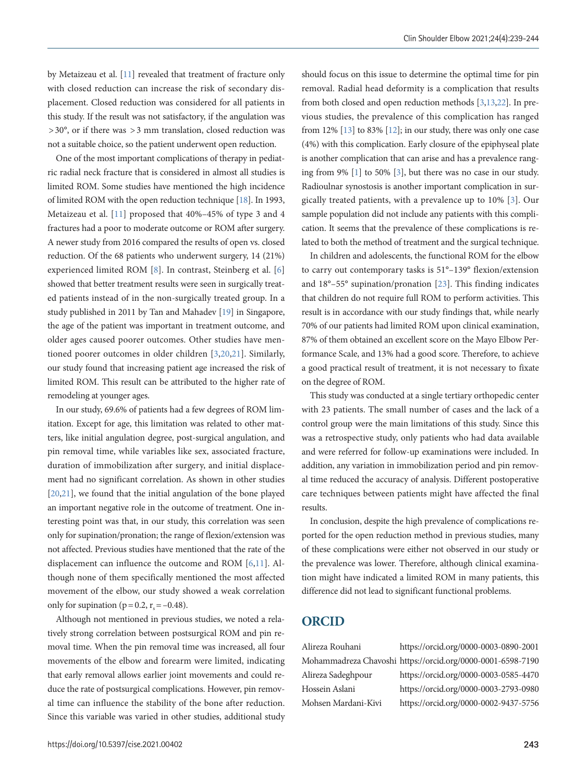by Metaizeau et al. [\[11\]](#page-5-9) revealed that treatment of fracture only with closed reduction can increase the risk of secondary displacement. Closed reduction was considered for all patients in this study. If the result was not satisfactory, if the angulation was  $> 30^{\circ}$ , or if there was  $> 3$  mm translation, closed reduction was not a suitable choice, so the patient underwent open reduction.

One of the most important complications of therapy in pediatric radial neck fracture that is considered in almost all studies is limited ROM. Some studies have mentioned the high incidence of limited ROM with the open reduction technique [\[18\]](#page-5-10). In 1993, Metaizeau et al. [11] proposed that 40%–45% of type 3 and 4 fractures had a poor to moderate outcome or ROM after surgery. A newer study from 2016 compared the results of open vs. closed reduction. Of the 68 patients who underwent surgery, 14 (21%) experienced limited ROM [8]. In contrast, Steinberg et al. [6] showed that better treatment results were seen in surgically treated patients instead of in the non-surgically treated group. In a study published in 2011 by Tan and Mahadev [\[19](#page-5-11)] in Singapore, the age of the patient was important in treatment outcome, and older ages caused poorer outcomes. Other studies have mentioned poorer outcomes in older children [3,[20](#page-5-12)[,21\]](#page-5-8). Similarly, our study found that increasing patient age increased the risk of limited ROM. This result can be attributed to the higher rate of remodeling at younger ages.

In our study, 69.6% of patients had a few degrees of ROM limitation. Except for age, this limitation was related to other matters, like initial angulation degree, post-surgical angulation, and pin removal time, while variables like sex, associated fracture, duration of immobilization after surgery, and initial displacement had no significant correlation. As shown in other studies [\[20](#page-5-12),[21\]](#page-5-8), we found that the initial angulation of the bone played an important negative role in the outcome of treatment. One interesting point was that, in our study, this correlation was seen only for supination/pronation; the range of flexion/extension was not affected. Previous studies have mentioned that the rate of the displacement can influence the outcome and ROM [6,11]. Although none of them specifically mentioned the most affected movement of the elbow, our study showed a weak correlation only for supination ( $p = 0.2$ ,  $r_s = -0.48$ ).

Although not mentioned in previous studies, we noted a relatively strong correlation between postsurgical ROM and pin removal time. When the pin removal time was increased, all four movements of the elbow and forearm were limited, indicating that early removal allows earlier joint movements and could reduce the rate of postsurgical complications. However, pin removal time can influence the stability of the bone after reduction. Since this variable was varied in other studies, additional study

should focus on this issue to determine the optimal time for pin removal. Radial head deformity is a complication that results from both closed and open reduction methods [3[,13](#page-5-4)[,22](#page-5-13)]. In previous studies, the prevalence of this complication has ranged from 12%  $[13]$  to 83%  $[12]$  $[12]$ ; in our study, there was only one case (4%) with this complication. Early closure of the epiphyseal plate is another complication that can arise and has a prevalence ranging from 9% [1] to 50% [3], but there was no case in our study. Radioulnar synostosis is another important complication in surgically treated patients, with a prevalence up to 10% [\[3\]](#page-4-2). Our sample population did not include any patients with this complication. It seems that the prevalence of these complications is related to both the method of treatment and the surgical technique.

<span id="page-4-2"></span>In children and adolescents, the functional ROM for the elbow to carry out contemporary tasks is 51°–139° flexion/extension and 18°–55° supination/pronation [\[23\]](#page-5-14). This finding indicates that children do not require full ROM to perform activities. This result is in accordance with our study findings that, while nearly 70% of our patients had limited ROM upon clinical examination, 87% of them obtained an excellent score on the Mayo Elbow Performance Scale, and 13% had a good score. Therefore, to achieve a good practical result of treatment, it is not necessary to fixate on the degree of ROM.

This study was conducted at a single tertiary orthopedic center with 23 patients. The small number of cases and the lack of a control group were the main limitations of this study. Since this was a retrospective study, only patients who had data available and were referred for follow-up examinations were included. In addition, any variation in immobilization period and pin removal time reduced the accuracy of analysis. Different postoperative care techniques between patients might have affected the final results.

In conclusion, despite the high prevalence of complications reported for the open reduction method in previous studies, many of these complications were either not observed in our study or the prevalence was lower. Therefore, although clinical examination might have indicated a limited ROM in many patients, this difference did not lead to significant functional problems.

## **ORCID**

<span id="page-4-1"></span><span id="page-4-0"></span>Alireza Rouhani https://orcid.org/0000-0003-0890-2001 Mohammadreza Chavoshi https://orcid.org/0000-0001-6598-7190 Alireza Sadeghpour https://orcid.org/0000-0003-0585-4470 Hossein Aslani https://orcid.org/0000-0003-2793-0980 Mohsen Mardani-Kivi https://orcid.org/0000-0002-9437-5756